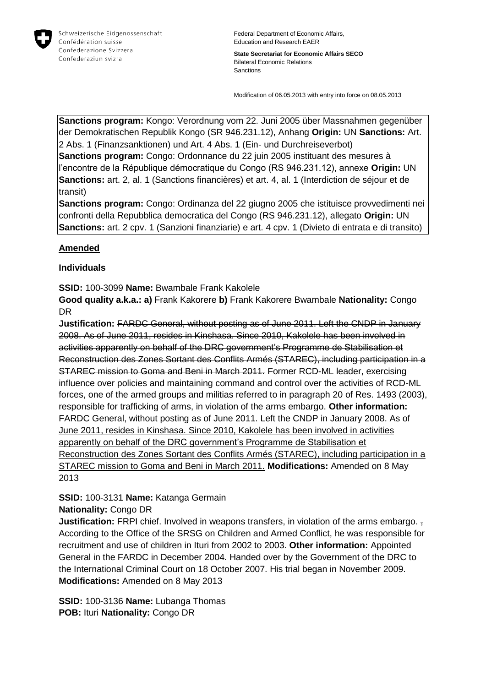

**State Secretariat for Economic Affairs SECO** Bilateral Economic Relations Sanctions

Modification of 06.05.2013 with entry into force on 08.05.2013

**Sanctions program:** Kongo: Verordnung vom 22. Juni 2005 über Massnahmen gegenüber der Demokratischen Republik Kongo (SR 946.231.12), Anhang **Origin:** UN **Sanctions:** Art. 2 Abs. 1 (Finanzsanktionen) und Art. 4 Abs. 1 (Ein- und Durchreiseverbot) **Sanctions program:** Congo: Ordonnance du 22 juin 2005 instituant des mesures à

l'encontre de la République démocratique du Congo (RS 946.231.12), annexe **Origin:** UN **Sanctions:** art. 2, al. 1 (Sanctions financières) et art. 4, al. 1 (Interdiction de séjour et de transit)

**Sanctions program:** Congo: Ordinanza del 22 giugno 2005 che istituisce provvedimenti nei confronti della Repubblica democratica del Congo (RS 946.231.12), allegato **Origin:** UN **Sanctions:** art. 2 cpv. 1 (Sanzioni finanziarie) e art. 4 cpv. 1 (Divieto di entrata e di transito)

# **Amended**

## **Individuals**

**SSID:** 100-3099 **Name:** Bwambale Frank Kakolele

**Good quality a.k.a.: a)** Frank Kakorere **b)** Frank Kakorere Bwambale **Nationality:** Congo DR

**Justification:** FARDC General, without posting as of June 2011. Left the CNDP in January 2008. As of June 2011, resides in Kinshasa. Since 2010, Kakolele has been involved in activities apparently on behalf of the DRC government's Programme de Stabilisation et Reconstruction des Zones Sortant des Conflits Armés (STAREC), including participation in a STAREC mission to Goma and Beni in March 2011. Former RCD-ML leader, exercising influence over policies and maintaining command and control over the activities of RCD-ML forces, one of the armed groups and militias referred to in paragraph 20 of Res. 1493 (2003), responsible for trafficking of arms, in violation of the arms embargo. **Other information:** FARDC General, without posting as of June 2011. Left the CNDP in January 2008. As of June 2011, resides in Kinshasa. Since 2010, Kakolele has been involved in activities apparently on behalf of the DRC government's Programme de Stabilisation et Reconstruction des Zones Sortant des Conflits Armés (STAREC), including participation in a STAREC mission to Goma and Beni in March 2011. **Modifications:** Amended on 8 May 2013

# **SSID:** 100-3131 **Name:** Katanga Germain

## **Nationality:** Congo DR

**Justification:** FRPI chief. Involved in weapons transfers, in violation of the arms embargo. According to the Office of the SRSG on Children and Armed Conflict, he was responsible for recruitment and use of children in Ituri from 2002 to 2003. **Other information:** Appointed General in the FARDC in December 2004. Handed over by the Government of the DRC to the International Criminal Court on 18 October 2007. His trial began in November 2009. **Modifications:** Amended on 8 May 2013

**SSID:** 100-3136 **Name:** Lubanga Thomas **POB:** Ituri **Nationality:** Congo DR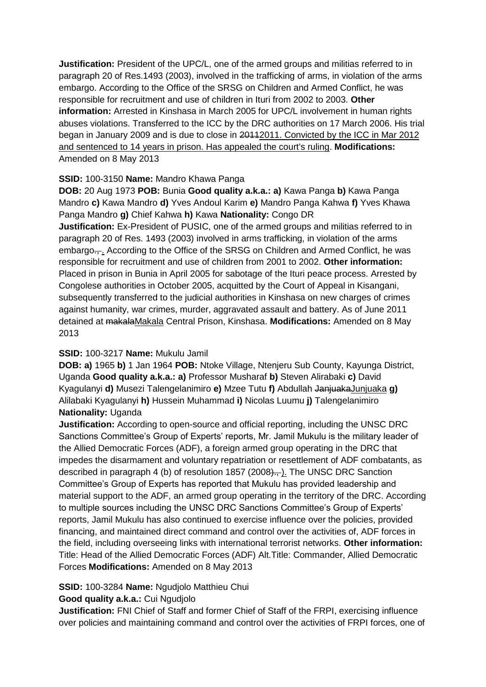**Justification:** President of the UPC/L, one of the armed groups and militias referred to in paragraph 20 of Res.1493 (2003), involved in the trafficking of arms, in violation of the arms embargo. According to the Office of the SRSG on Children and Armed Conflict, he was responsible for recruitment and use of children in Ituri from 2002 to 2003. **Other information:** Arrested in Kinshasa in March 2005 for UPC/L involvement in human rights abuses violations. Transferred to the ICC by the DRC authorities on 17 March 2006. His trial began in January 2009 and is due to close in 20112011. Convicted by the ICC in Mar 2012 and sentenced to 14 years in prison. Has appealed the court's ruling. **Modifications:**  Amended on 8 May 2013

## **SSID:** 100-3150 **Name:** Mandro Khawa Panga

**DOB:** 20 Aug 1973 **POB:** Bunia **Good quality a.k.a.: a)** Kawa Panga **b)** Kawa Panga Mandro **c)** Kawa Mandro **d)** Yves Andoul Karim **e)** Mandro Panga Kahwa **f)** Yves Khawa Panga Mandro **g)** Chief Kahwa **h)** Kawa **Nationality:** Congo DR **Justification:** Ex-President of PUSIC, one of the armed groups and militias referred to in paragraph 20 of Res. 1493 (2003) involved in arms trafficking, in violation of the arms embargo.... According to the Office of the SRSG on Children and Armed Conflict, he was responsible for recruitment and use of children from 2001 to 2002. **Other information:** Placed in prison in Bunia in April 2005 for sabotage of the Ituri peace process. Arrested by Congolese authorities in October 2005, acquitted by the Court of Appeal in Kisangani, subsequently transferred to the judicial authorities in Kinshasa on new charges of crimes against humanity, war crimes, murder, aggravated assault and battery. As of June 2011 detained at makalaMakala Central Prison, Kinshasa. **Modifications:** Amended on 8 May 2013

## **SSID:** 100-3217 **Name:** Mukulu Jamil

**DOB: a)** 1965 **b)** 1 Jan 1964 **POB:** Ntoke Village, Ntenjeru Sub County, Kayunga District, Uganda **Good quality a.k.a.: a)** Professor Musharaf **b)** Steven Alirabaki **c)** David Kyagulanyi **d)** Musezi Talengelanimiro **e)** Mzee Tutu **f)** Abdullah JanjuakaJunjuaka **g)**  Alilabaki Kyagulanyi **h)** Hussein Muhammad **i)** Nicolas Luumu **j)** Talengelanimiro **Nationality:** Uganda

**Justification:** According to open-source and official reporting, including the UNSC DRC Sanctions Committee's Group of Experts' reports, Mr. Jamil Mukulu is the military leader of the Allied Democratic Forces (ADF), a foreign armed group operating in the DRC that impedes the disarmament and voluntary repatriation or resettlement of ADF combatants, as described in paragraph 4 (b) of resolution 1857 (2008)., I. The UNSC DRC Sanction Committee's Group of Experts has reported that Mukulu has provided leadership and material support to the ADF, an armed group operating in the territory of the DRC. According to multiple sources including the UNSC DRC Sanctions Committee's Group of Experts' reports, Jamil Mukulu has also continued to exercise influence over the policies, provided financing, and maintained direct command and control over the activities of, ADF forces in the field, including overseeing links with international terrorist networks. **Other information:** Title: Head of the Allied Democratic Forces (ADF) Alt.Title: Commander, Allied Democratic Forces **Modifications:** Amended on 8 May 2013

# **SSID:** 100-3284 **Name:** Ngudjolo Matthieu Chui

## **Good quality a.k.a.:** Cui Ngudjolo

**Justification:** FNI Chief of Staff and former Chief of Staff of the FRPI, exercising influence over policies and maintaining command and control over the activities of FRPI forces, one of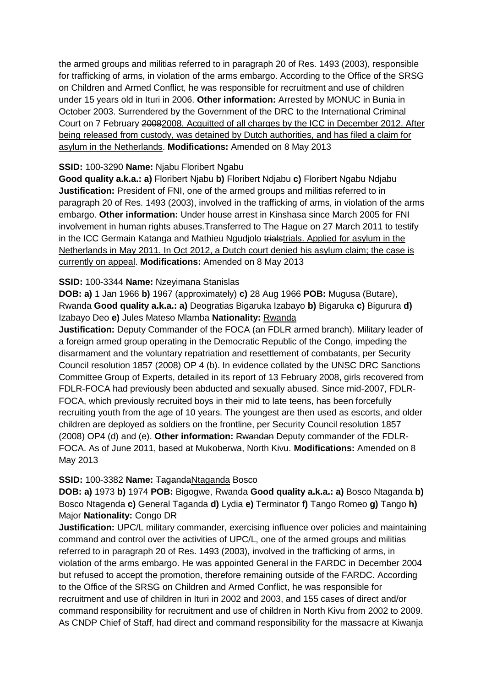the armed groups and militias referred to in paragraph 20 of Res. 1493 (2003), responsible for trafficking of arms, in violation of the arms embargo. According to the Office of the SRSG on Children and Armed Conflict, he was responsible for recruitment and use of children under 15 years old in Ituri in 2006. **Other information:** Arrested by MONUC in Bunia in October 2003. Surrendered by the Government of the DRC to the International Criminal Court on 7 February 20082008. Acquitted of all charges by the ICC in December 2012. After being released from custody, was detained by Dutch authorities, and has filed a claim for asylum in the Netherlands. **Modifications:** Amended on 8 May 2013

#### **SSID:** 100-3290 **Name:** Njabu Floribert Ngabu

**Good quality a.k.a.: a)** Floribert Njabu **b)** Floribert Ndjabu **c)** Floribert Ngabu Ndjabu **Justification:** President of FNI, one of the armed groups and militias referred to in paragraph 20 of Res. 1493 (2003), involved in the trafficking of arms, in violation of the arms embargo. **Other information:** Under house arrest in Kinshasa since March 2005 for FNI involvement in human rights abuses.Transferred to The Hague on 27 March 2011 to testify in the ICC Germain Katanga and Mathieu Ngudjolo trialstrials. Applied for asylum in the Netherlands in May 2011. In Oct 2012, a Dutch court denied his asylum claim; the case is currently on appeal. **Modifications:** Amended on 8 May 2013

#### **SSID:** 100-3344 **Name:** Nzeyimana Stanislas

**DOB: a)** 1 Jan 1966 **b)** 1967 (approximately) **c)** 28 Aug 1966 **POB:** Mugusa (Butare), Rwanda **Good quality a.k.a.: a)** Deogratias Bigaruka Izabayo **b)** Bigaruka **c)** Bigurura **d)**  Izabayo Deo **e)** Jules Mateso Mlamba **Nationality:** Rwanda

**Justification:** Deputy Commander of the FOCA (an FDLR armed branch). Military leader of a foreign armed group operating in the Democratic Republic of the Congo, impeding the disarmament and the voluntary repatriation and resettlement of combatants, per Security Council resolution 1857 (2008) OP 4 (b). In evidence collated by the UNSC DRC Sanctions Committee Group of Experts, detailed in its report of 13 February 2008, girls recovered from FDLR-FOCA had previously been abducted and sexually abused. Since mid-2007, FDLR-FOCA, which previously recruited boys in their mid to late teens, has been forcefully recruiting youth from the age of 10 years. The youngest are then used as escorts, and older children are deployed as soldiers on the frontline, per Security Council resolution 1857 (2008) OP4 (d) and (e). **Other information:** Rwandan Deputy commander of the FDLR-FOCA. As of June 2011, based at Mukoberwa, North Kivu. **Modifications:** Amended on 8 May 2013

#### **SSID:** 100-3382 **Name:** TagandaNtaganda Bosco

**DOB: a)** 1973 **b)** 1974 **POB:** Bigogwe, Rwanda **Good quality a.k.a.: a)** Bosco Ntaganda **b)**  Bosco Ntagenda **c)** General Taganda **d)** Lydia **e)** Terminator **f)** Tango Romeo **g)** Tango **h)**  Major **Nationality:** Congo DR

**Justification:** UPC/L military commander, exercising influence over policies and maintaining command and control over the activities of UPC/L, one of the armed groups and militias referred to in paragraph 20 of Res. 1493 (2003), involved in the trafficking of arms, in violation of the arms embargo. He was appointed General in the FARDC in December 2004 but refused to accept the promotion, therefore remaining outside of the FARDC. According to the Office of the SRSG on Children and Armed Conflict, he was responsible for recruitment and use of children in Ituri in 2002 and 2003, and 155 cases of direct and/or command responsibility for recruitment and use of children in North Kivu from 2002 to 2009. As CNDP Chief of Staff, had direct and command responsibility for the massacre at Kiwanja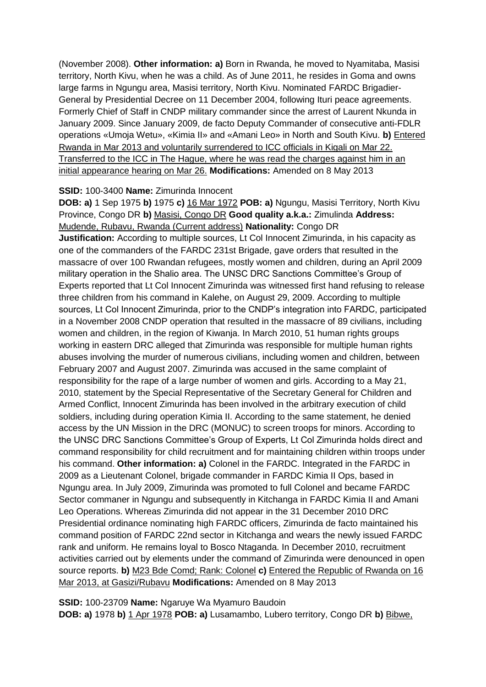(November 2008). **Other information: a)** Born in Rwanda, he moved to Nyamitaba, Masisi territory, North Kivu, when he was a child. As of June 2011, he resides in Goma and owns large farms in Ngungu area, Masisi territory, North Kivu. Nominated FARDC Brigadier-General by Presidential Decree on 11 December 2004, following Ituri peace agreements. Formerly Chief of Staff in CNDP military commander since the arrest of Laurent Nkunda in January 2009. Since January 2009, de facto Deputy Commander of consecutive anti-FDLR operations «Umoja Wetu», «Kimia II» and «Amani Leo» in North and South Kivu. **b)** Entered Rwanda in Mar 2013 and voluntarily surrendered to ICC officials in Kigali on Mar 22. Transferred to the ICC in The Hague, where he was read the charges against him in an initial appearance hearing on Mar 26. **Modifications:** Amended on 8 May 2013

#### **SSID:** 100-3400 **Name:** Zimurinda Innocent

**DOB: a)** 1 Sep 1975 **b)** 1975 **c)** 16 Mar 1972 **POB: a)** Ngungu, Masisi Territory, North Kivu Province, Congo DR **b)** Masisi, Congo DR **Good quality a.k.a.:** Zimulinda **Address:** Mudende, Rubavu, Rwanda (Current address) **Nationality:** Congo DR

**Justification:** According to multiple sources, Lt Col Innocent Zimurinda, in his capacity as one of the commanders of the FARDC 231st Brigade, gave orders that resulted in the massacre of over 100 Rwandan refugees, mostly women and children, during an April 2009 military operation in the Shalio area. The UNSC DRC Sanctions Committee's Group of Experts reported that Lt Col Innocent Zimurinda was witnessed first hand refusing to release three children from his command in Kalehe, on August 29, 2009. According to multiple sources, Lt Col Innocent Zimurinda, prior to the CNDP's integration into FARDC, participated in a November 2008 CNDP operation that resulted in the massacre of 89 civilians, including women and children, in the region of Kiwanja. In March 2010, 51 human rights groups working in eastern DRC alleged that Zimurinda was responsible for multiple human rights abuses involving the murder of numerous civilians, including women and children, between February 2007 and August 2007. Zimurinda was accused in the same complaint of responsibility for the rape of a large number of women and girls. According to a May 21, 2010, statement by the Special Representative of the Secretary General for Children and Armed Conflict, Innocent Zimurinda has been involved in the arbitrary execution of child soldiers, including during operation Kimia II. According to the same statement, he denied access by the UN Mission in the DRC (MONUC) to screen troops for minors. According to the UNSC DRC Sanctions Committee's Group of Experts, Lt Col Zimurinda holds direct and command responsibility for child recruitment and for maintaining children within troops under his command. **Other information: a)** Colonel in the FARDC. Integrated in the FARDC in 2009 as a Lieutenant Colonel, brigade commander in FARDC Kimia II Ops, based in Ngungu area. In July 2009, Zimurinda was promoted to full Colonel and became FARDC Sector commaner in Ngungu and subsequently in Kitchanga in FARDC Kimia II and Amani Leo Operations. Whereas Zimurinda did not appear in the 31 December 2010 DRC Presidential ordinance nominating high FARDC officers, Zimurinda de facto maintained his command position of FARDC 22nd sector in Kitchanga and wears the newly issued FARDC rank and uniform. He remains loyal to Bosco Ntaganda. In December 2010, recruitment activities carried out by elements under the command of Zimurinda were denounced in open source reports. **b)** M23 Bde Comd; Rank: Colonel **c)** Entered the Republic of Rwanda on 16 Mar 2013, at Gasizi/Rubavu **Modifications:** Amended on 8 May 2013

**SSID:** 100-23709 **Name:** Ngaruye Wa Myamuro Baudoin **DOB: a)** 1978 **b)** 1 Apr 1978 **POB: a)** Lusamambo, Lubero territory, Congo DR **b)** Bibwe,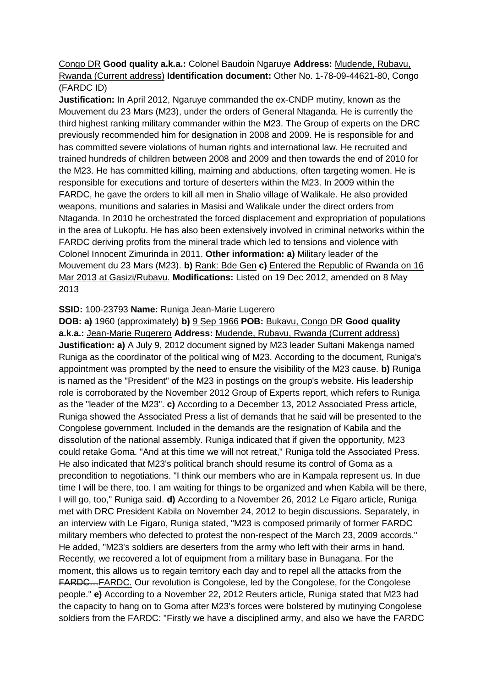Congo DR **Good quality a.k.a.:** Colonel Baudoin Ngaruye **Address:** Mudende, Rubavu, Rwanda (Current address) **Identification document:** Other No. 1-78-09-44621-80, Congo (FARDC ID)

**Justification:** In April 2012, Ngaruye commanded the ex-CNDP mutiny, known as the Mouvement du 23 Mars (M23), under the orders of General Ntaganda. He is currently the third highest ranking military commander within the M23. The Group of experts on the DRC previously recommended him for designation in 2008 and 2009. He is responsible for and has committed severe violations of human rights and international law. He recruited and trained hundreds of children between 2008 and 2009 and then towards the end of 2010 for the M23. He has committed killing, maiming and abductions, often targeting women. He is responsible for executions and torture of deserters within the M23. In 2009 within the FARDC, he gave the orders to kill all men in Shalio village of Walikale. He also provided weapons, munitions and salaries in Masisi and Walikale under the direct orders from Ntaganda. In 2010 he orchestrated the forced displacement and expropriation of populations in the area of Lukopfu. He has also been extensively involved in criminal networks within the FARDC deriving profits from the mineral trade which led to tensions and violence with Colonel Innocent Zimurinda in 2011. **Other information: a)** Military leader of the Mouvement du 23 Mars (M23). **b)** Rank: Bde Gen **c)** Entered the Republic of Rwanda on 16 Mar 2013 at Gasizi/Rubavu. **Modifications:** Listed on 19 Dec 2012, amended on 8 May 2013

#### **SSID:** 100-23793 **Name:** Runiga Jean-Marie Lugerero

**DOB: a)** 1960 (approximately) **b)** 9 Sep 1966 **POB:** Bukavu, Congo DR **Good quality a.k.a.:** Jean-Marie Rugerero **Address:** Mudende, Rubavu, Rwanda (Current address) **Justification: a)** A July 9, 2012 document signed by M23 leader Sultani Makenga named Runiga as the coordinator of the political wing of M23. According to the document, Runiga's appointment was prompted by the need to ensure the visibility of the M23 cause. **b)** Runiga is named as the "President" of the M23 in postings on the group's website. His leadership role is corroborated by the November 2012 Group of Experts report, which refers to Runiga as the "leader of the M23". **c)** According to a December 13, 2012 Associated Press article, Runiga showed the Associated Press a list of demands that he said will be presented to the Congolese government. Included in the demands are the resignation of Kabila and the dissolution of the national assembly. Runiga indicated that if given the opportunity, M23 could retake Goma. "And at this time we will not retreat," Runiga told the Associated Press. He also indicated that M23's political branch should resume its control of Goma as a precondition to negotiations. "I think our members who are in Kampala represent us. In due time I will be there, too. I am waiting for things to be organized and when Kabila will be there, I will go, too," Runiga said. **d)** According to a November 26, 2012 Le Figaro article, Runiga met with DRC President Kabila on November 24, 2012 to begin discussions. Separately, in an interview with Le Figaro, Runiga stated, "M23 is composed primarily of former FARDC military members who defected to protest the non-respect of the March 23, 2009 accords." He added, "M23's soldiers are deserters from the army who left with their arms in hand. Recently, we recovered a lot of equipment from a military base in Bunagana. For the moment, this allows us to regain territory each day and to repel all the attacks from the FARDC…FARDC. Our revolution is Congolese, led by the Congolese, for the Congolese people." **e)** According to a November 22, 2012 Reuters article, Runiga stated that M23 had the capacity to hang on to Goma after M23's forces were bolstered by mutinying Congolese soldiers from the FARDC: "Firstly we have a disciplined army, and also we have the FARDC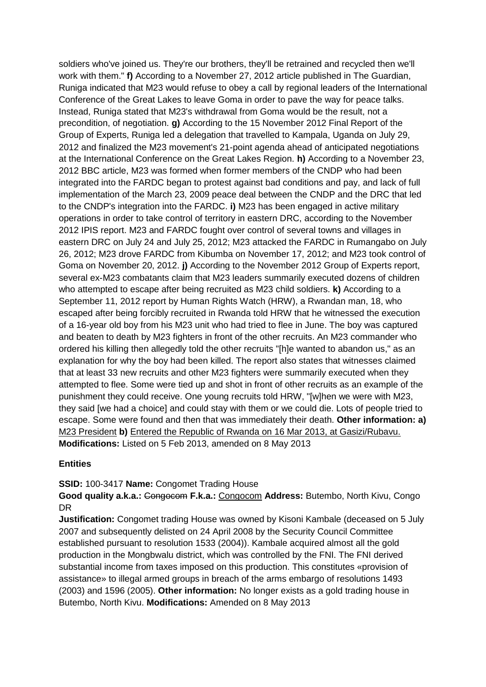soldiers who've joined us. They're our brothers, they'll be retrained and recycled then we'll work with them." **f)** According to a November 27, 2012 article published in The Guardian, Runiga indicated that M23 would refuse to obey a call by regional leaders of the International Conference of the Great Lakes to leave Goma in order to pave the way for peace talks. Instead, Runiga stated that M23's withdrawal from Goma would be the result, not a precondition, of negotiation. **g)** According to the 15 November 2012 Final Report of the Group of Experts, Runiga led a delegation that travelled to Kampala, Uganda on July 29, 2012 and finalized the M23 movement's 21-point agenda ahead of anticipated negotiations at the International Conference on the Great Lakes Region. **h)** According to a November 23, 2012 BBC article, M23 was formed when former members of the CNDP who had been integrated into the FARDC began to protest against bad conditions and pay, and lack of full implementation of the March 23, 2009 peace deal between the CNDP and the DRC that led to the CNDP's integration into the FARDC. **i)** M23 has been engaged in active military operations in order to take control of territory in eastern DRC, according to the November 2012 IPIS report. M23 and FARDC fought over control of several towns and villages in eastern DRC on July 24 and July 25, 2012; M23 attacked the FARDC in Rumangabo on July 26, 2012; M23 drove FARDC from Kibumba on November 17, 2012; and M23 took control of Goma on November 20, 2012. **j)** According to the November 2012 Group of Experts report, several ex-M23 combatants claim that M23 leaders summarily executed dozens of children who attempted to escape after being recruited as M23 child soldiers. **k)** According to a September 11, 2012 report by Human Rights Watch (HRW), a Rwandan man, 18, who escaped after being forcibly recruited in Rwanda told HRW that he witnessed the execution of a 16-year old boy from his M23 unit who had tried to flee in June. The boy was captured and beaten to death by M23 fighters in front of the other recruits. An M23 commander who ordered his killing then allegedly told the other recruits "[h]e wanted to abandon us," as an explanation for why the boy had been killed. The report also states that witnesses claimed that at least 33 new recruits and other M23 fighters were summarily executed when they attempted to flee. Some were tied up and shot in front of other recruits as an example of the punishment they could receive. One young recruits told HRW, "[w]hen we were with M23, they said [we had a choice] and could stay with them or we could die. Lots of people tried to escape. Some were found and then that was immediately their death. **Other information: a)**  M23 President **b)** Entered the Republic of Rwanda on 16 Mar 2013, at Gasizi/Rubavu. **Modifications:** Listed on 5 Feb 2013, amended on 8 May 2013

## **Entities**

**SSID:** 100-3417 **Name:** Congomet Trading House

**Good quality a.k.a.:** Congocom **F.k.a.:** Congocom **Address:** Butembo, North Kivu, Congo DR

**Justification:** Congomet trading House was owned by Kisoni Kambale (deceased on 5 July 2007 and subsequently delisted on 24 April 2008 by the Security Council Committee established pursuant to resolution 1533 (2004)). Kambale acquired almost all the gold production in the Mongbwalu district, which was controlled by the FNI. The FNI derived substantial income from taxes imposed on this production. This constitutes «provision of assistance» to illegal armed groups in breach of the arms embargo of resolutions 1493 (2003) and 1596 (2005). **Other information:** No longer exists as a gold trading house in Butembo, North Kivu. **Modifications:** Amended on 8 May 2013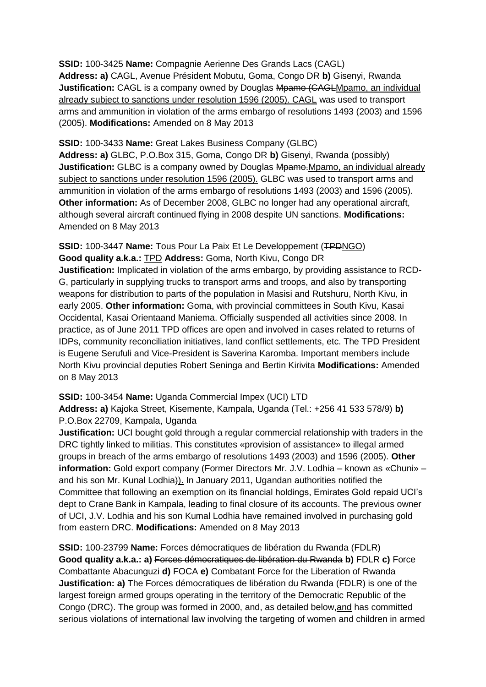**SSID:** 100-3425 **Name:** Compagnie Aerienne Des Grands Lacs (CAGL) **Address: a)** CAGL, Avenue Président Mobutu, Goma, Congo DR **b)** Gisenyi, Rwanda **Justification:** CAGL is a company owned by Douglas Mpamo (CAGLMpamo, an individual already subject to sanctions under resolution 1596 (2005). CAGL was used to transport arms and ammunition in violation of the arms embargo of resolutions 1493 (2003) and 1596 (2005). **Modifications:** Amended on 8 May 2013

**SSID:** 100-3433 **Name:** Great Lakes Business Company (GLBC)

**Address: a)** GLBC, P.O.Box 315, Goma, Congo DR **b)** Gisenyi, Rwanda (possibly) **Justification:** GLBC is a company owned by Douglas Mpamo.Mpamo, an individual already subject to sanctions under resolution 1596 (2005). GLBC was used to transport arms and ammunition in violation of the arms embargo of resolutions 1493 (2003) and 1596 (2005). **Other information:** As of December 2008, GLBC no longer had any operational aircraft, although several aircraft continued flying in 2008 despite UN sanctions. **Modifications:**  Amended on 8 May 2013

# **SSID:** 100-3447 **Name:** Tous Pour La Paix Et Le Developpement (TPDNGO) **Good quality a.k.a.:** TPD **Address:** Goma, North Kivu, Congo DR

**Justification:** Implicated in violation of the arms embargo, by providing assistance to RCD-G, particularly in supplying trucks to transport arms and troops, and also by transporting weapons for distribution to parts of the population in Masisi and Rutshuru, North Kivu, in early 2005. **Other information:** Goma, with provincial committees in South Kivu, Kasai Occidental, Kasai Orientaand Maniema. Officially suspended all activities since 2008. In practice, as of June 2011 TPD offices are open and involved in cases related to returns of IDPs, community reconciliation initiatives, land conflict settlements, etc. The TPD President is Eugene Serufuli and Vice-President is Saverina Karomba. Important members include North Kivu provincial deputies Robert Seninga and Bertin Kirivita **Modifications:** Amended on 8 May 2013

**SSID:** 100-3454 **Name:** Uganda Commercial Impex (UCI) LTD

**Address: a)** Kajoka Street, Kisemente, Kampala, Uganda (Tel.: +256 41 533 578/9) **b)**  P.O.Box 22709, Kampala, Uganda

**Justification:** UCI bought gold through a regular commercial relationship with traders in the DRC tightly linked to militias. This constitutes «provision of assistance» to illegal armed groups in breach of the arms embargo of resolutions 1493 (2003) and 1596 (2005). **Other information:** Gold export company (Former Directors Mr. J.V. Lodhia – known as «Chuni» – and his son Mr. Kunal Lodhia)). In January 2011, Ugandan authorities notified the Committee that following an exemption on its financial holdings, Emirates Gold repaid UCI's dept to Crane Bank in Kampala, leading to final closure of its accounts. The previous owner of UCI, J.V. Lodhia and his son Kumal Lodhia have remained involved in purchasing gold from eastern DRC. **Modifications:** Amended on 8 May 2013

**SSID:** 100-23799 **Name:** Forces démocratiques de libération du Rwanda (FDLR) **Good quality a.k.a.: a)** Forces démocratiques de libération du Rwanda **b)** FDLR **c)** Force Combattante Abacunguzi **d)** FOCA **e)** Combatant Force for the Liberation of Rwanda **Justification: a)** The Forces démocratiques de libération du Rwanda (FDLR) is one of the largest foreign armed groups operating in the territory of the Democratic Republic of the Congo (DRC). The group was formed in 2000, and, as detailed below,and has committed serious violations of international law involving the targeting of women and children in armed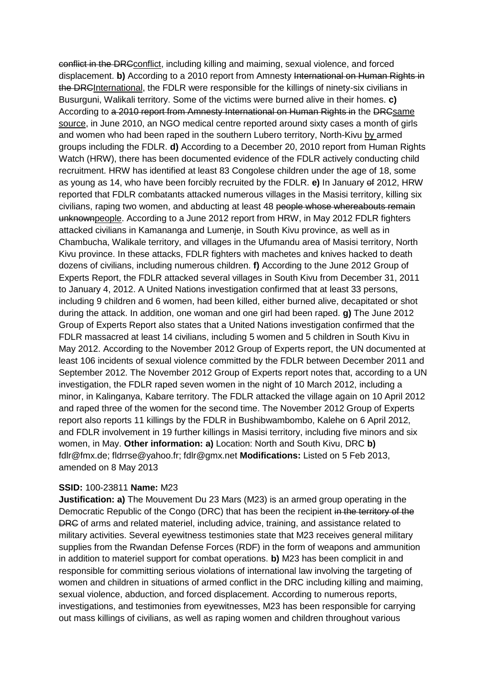conflict in the DRCconflict, including killing and maiming, sexual violence, and forced displacement. **b)** According to a 2010 report from Amnesty International on Human Rights in the DRCInternational, the FDLR were responsible for the killings of ninety-six civilians in Busurguni, Walikali territory. Some of the victims were burned alive in their homes. **c)**  According to a 2010 report from Amnesty International on Human Rights in the DRCsame source, in June 2010, an NGO medical centre reported around sixty cases a month of girls and women who had been raped in the southern Lubero territory, North-Kivu by armed groups including the FDLR. **d)** According to a December 20, 2010 report from Human Rights Watch (HRW), there has been documented evidence of the FDLR actively conducting child recruitment. HRW has identified at least 83 Congolese children under the age of 18, some as young as 14, who have been forcibly recruited by the FDLR. **e)** In January of 2012, HRW reported that FDLR combatants attacked numerous villages in the Masisi territory, killing six civilians, raping two women, and abducting at least 48 people whose whereabouts remain unknownpeople. According to a June 2012 report from HRW, in May 2012 FDLR fighters attacked civilians in Kamananga and Lumenje, in South Kivu province, as well as in Chambucha, Walikale territory, and villages in the Ufumandu area of Masisi territory, North Kivu province. In these attacks, FDLR fighters with machetes and knives hacked to death dozens of civilians, including numerous children. **f)** According to the June 2012 Group of Experts Report, the FDLR attacked several villages in South Kivu from December 31, 2011 to January 4, 2012. A United Nations investigation confirmed that at least 33 persons, including 9 children and 6 women, had been killed, either burned alive, decapitated or shot during the attack. In addition, one woman and one girl had been raped. **g)** The June 2012 Group of Experts Report also states that a United Nations investigation confirmed that the FDLR massacred at least 14 civilians, including 5 women and 5 children in South Kivu in May 2012. According to the November 2012 Group of Experts report, the UN documented at least 106 incidents of sexual violence committed by the FDLR between December 2011 and September 2012. The November 2012 Group of Experts report notes that, according to a UN investigation, the FDLR raped seven women in the night of 10 March 2012, including a minor, in Kalinganya, Kabare territory. The FDLR attacked the village again on 10 April 2012 and raped three of the women for the second time. The November 2012 Group of Experts report also reports 11 killings by the FDLR in Bushibwambombo, Kalehe on 6 April 2012, and FDLR involvement in 19 further killings in Masisi territory, including five minors and six women, in May. **Other information: a)** Location: North and South Kivu, DRC **b)**  fdlr@fmx.de; fldrrse@yahoo.fr; fdlr@gmx.net **Modifications:** Listed on 5 Feb 2013, amended on 8 May 2013

#### **SSID:** 100-23811 **Name:** M23

**Justification: a)** The Mouvement Du 23 Mars (M23) is an armed group operating in the Democratic Republic of the Congo (DRC) that has been the recipient in the territory of the DRC of arms and related materiel, including advice, training, and assistance related to military activities. Several eyewitness testimonies state that M23 receives general military supplies from the Rwandan Defense Forces (RDF) in the form of weapons and ammunition in addition to materiel support for combat operations. **b)** M23 has been complicit in and responsible for committing serious violations of international law involving the targeting of women and children in situations of armed conflict in the DRC including killing and maiming, sexual violence, abduction, and forced displacement. According to numerous reports, investigations, and testimonies from eyewitnesses, M23 has been responsible for carrying out mass killings of civilians, as well as raping women and children throughout various